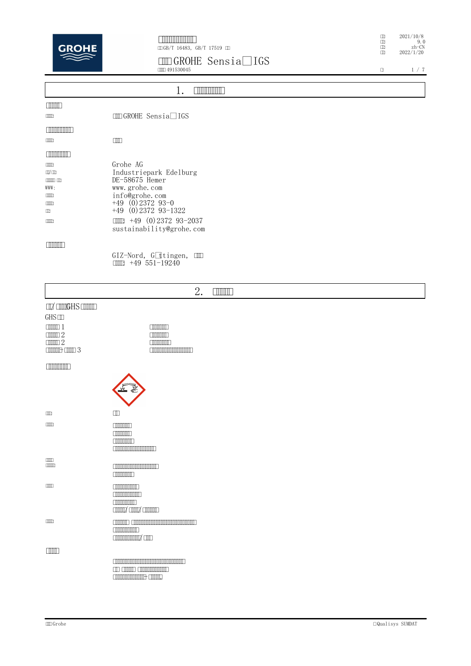

## **GROHE Sensia® IGS** 491530045

: 2021/10/8 : 9.0 : zh-CN : 2022/1/20

 $\begin{array}{c|c|c|c|c} \hline \textbf{1} & \textbf{1} & \textbf{7} & \textbf{7} \\\hline \end{array}$ 

|                  | <u> IIIIIIII</u>                                                |
|------------------|-----------------------------------------------------------------|
| <b>TIME</b>      |                                                                 |
| $\Box$           | <b>IDD</b> GROHE Sensia <sup>®</sup> IGS                        |
| <b>COMMUNIST</b> |                                                                 |
| <b>COOT</b>      | $\Box$                                                          |
| <b>CONTINUES</b> |                                                                 |
| <b>COOT</b>      | Grohe AG                                                        |
| $\square$        | Industriepark Edelburg                                          |
| $\Box$           | DE-58675 Hemer                                                  |
| WWW:             | www.grohe.com                                                   |
| $\Box$           | info@grohe.com                                                  |
| $\Box$           | $+49$ (0) 2372 93-0                                             |
| $\Box$           | $+49$ (0) 2372 93-1322                                          |
| <b>COOT</b>      | $\boxed{1111}$ +49 (0) 2372 93-2037<br>sustainability@grohe.com |
| <b>FRIDADI</b>   |                                                                 |
|                  | GIZ-Nord, Göttingen, III                                        |

**: +49 551-19240**

|                                                                                                                                                                                                                       | 2.<br><b>THULLE</b>                                               |
|-----------------------------------------------------------------------------------------------------------------------------------------------------------------------------------------------------------------------|-------------------------------------------------------------------|
| $\Box Z$ $\Box \Box \Box G$ HS $\Box \Box \Box \Box$<br>GHS<br>$\Box$ $\Box$ $1$<br>$\square \square \square \square \square$ 2<br>$\square \square \square \square \square$ 2<br>$\boxed{\text{min}}\,\text{min}\,3$ | <b>TIMERING</b><br><b>COMMUNITY</b><br><b>COMMON CONTRACT</b>     |
| <b>TIMORIAL PRODUCT</b>                                                                                                                                                                                               |                                                                   |
| $\Box \Box$                                                                                                                                                                                                           | $\Box\Box$                                                        |
| $\Box$                                                                                                                                                                                                                | $\Box$<br>$\Box$<br><b>COMMON CONTRACT</b>                        |
| $\Box \Box \Box$                                                                                                                                                                                                      | <b>COMMON DESCRIPTION</b>                                         |
| $\Box$                                                                                                                                                                                                                | <b>THE REAL PROPERTY</b><br><b>THE REAL PROPERTY</b><br>$\Box$    |
| $\Box$                                                                                                                                                                                                                | $\frac{1}{2}$                                                     |
| <b>FINITI</b>                                                                                                                                                                                                         | <b>The Children Communication</b><br><b>CONTINUISHED CONTINUE</b> |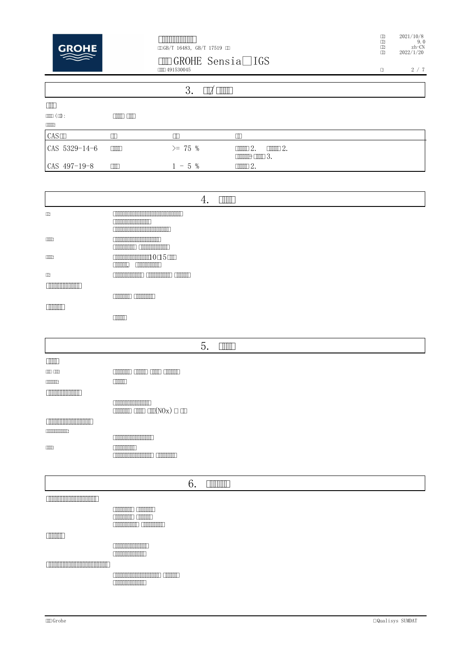

# 

# 

 $\begin{array}{c} 2021/10/8 \\ 9.0 \\ 2022/1/20 \end{array}$  $\begin{tabular}{c} \multicolumn{2}{c}{\textbf{H}} \\ \multicolumn{2}{c}{\textbf{H}} \\ \multicolumn{2}{c}{\textbf{H}} \\ \multicolumn{2}{c}{\textbf{H}} \\ \multicolumn{2}{c}{\textbf{H}} \\ \multicolumn{2}{c}{\textbf{H}} \\ \multicolumn{2}{c}{\textbf{H}} \\ \multicolumn{2}{c}{\textbf{H}} \\ \multicolumn{2}{c}{\textbf{H}} \\ \multicolumn{2}{c}{\textbf{H}} \\ \multicolumn{2}{c}{\textbf{H}} \\ \multicolumn{2}{c}{\textbf{H}} \\ \multicolumn{2}{c}{\textbf{H}} \\ \multicolumn$ 

 $2\neq 7$  $\Box$ 

|                           |                        | 3.          | $\Box$                                                                    |  |
|---------------------------|------------------------|-------------|---------------------------------------------------------------------------|--|
| $\Box$                    |                        |             |                                                                           |  |
| $\text{min}(\textbf{u}):$ | <b>CONTENT CONTENT</b> |             |                                                                           |  |
| $\Box$                    |                        |             |                                                                           |  |
| CAS                       | ╥                      | Ш           | П                                                                         |  |
| CAS 5329-14-6             | $\Box$                 | $\geq$ 75 % | $m = 2$ .<br>$\Box \Box \Box 2$ .<br>$\boxed{\text{min}}\ \text{min}\ 3.$ |  |
| CAS 497-19-8              | $\Box$                 | $-5\%$      | $\mathbb{H} \mathbb{H} 2.$                                                |  |

|                                      | 4.<br><b>THILL</b>                                                                                                                                                                                                                                                 |
|--------------------------------------|--------------------------------------------------------------------------------------------------------------------------------------------------------------------------------------------------------------------------------------------------------------------|
| $\Box$                               | <u>E monomono anomono anomonis e se escritor de la calidad de la calidad de la calidad de la calidad de la calidad de la calidad de la calidad de la calidad de la calidad de la calidad de la calidad de la calidad de la calid</u>                               |
|                                      | <b>COMMON DIRECT</b>                                                                                                                                                                                                                                               |
|                                      | <u> E de la componentación de la componentación de la componentación de la componentación de la componentación de la componentación de la componentación de la componentación de la componentación de la componentación de la co</u><br><b>COMMON DISPONSITION</b> |
| $\Box$                               | <b>CONTINUES CONTINUES</b>                                                                                                                                                                                                                                         |
| $\Box$                               | 1015                                                                                                                                                                                                                                                               |
|                                      | <b>COMMON COMMON</b>                                                                                                                                                                                                                                               |
| Ш                                    | <b>CONOMICATION CONTINUES CONTINUES</b>                                                                                                                                                                                                                            |
|                                      |                                                                                                                                                                                                                                                                    |
|                                      | <b>COMMON COMMON</b>                                                                                                                                                                                                                                               |
| <b>TIMMIN</b>                        |                                                                                                                                                                                                                                                                    |
|                                      |                                                                                                                                                                                                                                                                    |
|                                      |                                                                                                                                                                                                                                                                    |
|                                      |                                                                                                                                                                                                                                                                    |
|                                      | 5.<br><b>TIME</b>                                                                                                                                                                                                                                                  |
| $\Box$ $\Box$                        |                                                                                                                                                                                                                                                                    |
| COO COO                              | announce announcement                                                                                                                                                                                                                                              |
| <b>CONTINUES</b>                     | $\Box$                                                                                                                                                                                                                                                             |
| <b>COMMUNISTIC</b>                   |                                                                                                                                                                                                                                                                    |
|                                      | <b>COMMON DIRECTION</b>                                                                                                                                                                                                                                            |
|                                      | $\boxed{\text{minim}} \ \text{min} \ \text{min}(\text{NOx}) \ \Box \ \text{min}$                                                                                                                                                                                   |
| <u> Tim in minimum minimu</u>        |                                                                                                                                                                                                                                                                    |
| $\Box$                               | <b>COMMUNIST</b>                                                                                                                                                                                                                                                   |
| $\Box\Box\Box$                       | <b>COMMUNITY</b>                                                                                                                                                                                                                                                   |
|                                      |                                                                                                                                                                                                                                                                    |
|                                      |                                                                                                                                                                                                                                                                    |
|                                      | 6.<br><b>ENTIMATE</b>                                                                                                                                                                                                                                              |
|                                      |                                                                                                                                                                                                                                                                    |
| <u> Elizabeth Maria Maria (1989)</u> |                                                                                                                                                                                                                                                                    |
|                                      | <b>COMMON COMMON</b>                                                                                                                                                                                                                                               |
|                                      | <b>COMMON COMMON</b><br><b>COMMON COMMON CONTRACT</b>                                                                                                                                                                                                              |
| mmn                                  |                                                                                                                                                                                                                                                                    |

#### $\begin{tabular}{|c|c|c|c|} \hline \quad \quad & \quad \quad & \quad \quad & \quad \quad \\ \hline \end{tabular}$

**THE REAL PROPERTY** 

#### 

**CONTINUES IN THE EXPLORER STATE**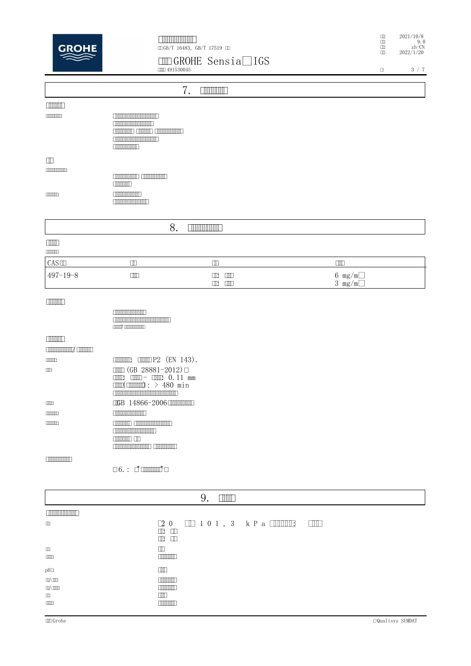

# : 2021/10/8 : 9.0 : zh-CN : 2022/1/20

### **GROHE Sensia® IGS**

|                                   | <b>COLO 491530045</b>                                                                                                                                                                                                                                                 | <b>ETTE ORISTAD TAP</b>                                | $\Box$                                   | $3\,$ / $\,7$ |
|-----------------------------------|-----------------------------------------------------------------------------------------------------------------------------------------------------------------------------------------------------------------------------------------------------------------------|--------------------------------------------------------|------------------------------------------|---------------|
|                                   |                                                                                                                                                                                                                                                                       | 7.<br><b>TIMONIA</b>                                   |                                          |               |
| <b>TIMERIN</b>                    |                                                                                                                                                                                                                                                                       |                                                        |                                          |               |
|                                   | <b>The Common Common Common Common Common Common Common Common Common Common Common Common Common Common Common C</b><br><b>COMMUNISTICATION</b><br><b>CONDITIONS CONDITIONS CONDITIONS</b><br><b>THE REAL PROPERTY</b>                                               |                                                        |                                          |               |
| $\Box$                            |                                                                                                                                                                                                                                                                       |                                                        |                                          |               |
| [1]                               | <b>COMMON COMMON CONTRACT</b>                                                                                                                                                                                                                                         |                                                        |                                          |               |
| $\Box$                            | <b>COMMUNIST</b><br><b>COMMUNISTIC</b>                                                                                                                                                                                                                                |                                                        |                                          |               |
|                                   | 8.                                                                                                                                                                                                                                                                    | <b>ENTITY NOTE</b>                                     |                                          |               |
| $\Box$                            |                                                                                                                                                                                                                                                                       |                                                        |                                          |               |
| CAS                               | $\hfill\blacksquare$                                                                                                                                                                                                                                                  | $\hfill\Box$                                           | $\Box$                                   |               |
| $497 - 19 - 8$                    | $\Box$                                                                                                                                                                                                                                                                | $\mathbb{D}$ $\mathbb{D}$<br>$\mathbb{D}$ $\mathbb{D}$ | $6 \text{ mg/m}^3$<br>$3 \text{ mg/m}^3$ |               |
| <b>THEFT</b>                      |                                                                                                                                                                                                                                                                       |                                                        |                                          |               |
|                                   | <b>THE REAL PROPERTY</b><br><u> Elizabeth ann an Dùbhlachd ann an Dùbhlachd ann an Dùbhlachd ann an Dùbhlachd ann an Dùbhlachd ann an Dùbhlachd ann an Dùbhlachd ann an Dùbhlachd ann an Dùbhlachd ann an Dùbhlachd ann an Dùbhlachd ann an Dùbhlachd ann an</u><br>T |                                                        |                                          |               |
| <b>THEFT</b><br><b>CONTINUITY</b> |                                                                                                                                                                                                                                                                       |                                                        |                                          |               |
| 1000003                           | $\boxed{\text{minim}}$ $\boxed{\text{min}}$ $P2$ (EN 143).                                                                                                                                                                                                            |                                                        |                                          |               |
| Œ                                 | $\Box$ (GB 28881-2012) $\Box$<br>$\text{min}(\text{min})$ : > 480 min                                                                                                                                                                                                 |                                                        |                                          |               |
| $\Box$                            | <b>CGB</b> 14866-2006 <b>CHIMBON</b>                                                                                                                                                                                                                                  |                                                        |                                          |               |
| $\Box$                            | <b>COMMON DISPUTE</b>                                                                                                                                                                                                                                                 |                                                        |                                          |               |
| <b>CONTINUES</b>                  | <b>CONTROL CONTROVERED</b><br><b>CONTINUES AND STREET</b>                                                                                                                                                                                                             |                                                        |                                          |               |
| <b>THE REAL PROPERTY</b>          |                                                                                                                                                                                                                                                                       |                                                        |                                          |               |
|                                   | $\Box$ 6. : $\Box$ $\Box$ $\Box$ $\Box$ $\Box$ $\Box$ $\Box$                                                                                                                                                                                                          |                                                        |                                          |               |

|                                                        | <b>TITLE</b><br>У.                                                                                                                            |
|--------------------------------------------------------|-----------------------------------------------------------------------------------------------------------------------------------------------|
| <b>ENTIMATION AND LO</b>                               |                                                                                                                                               |
| $\Box$                                                 | $[2 0 \quad \boxed{1 0 1, 3 \quad k \; P \; a \; \boxed{111111} \quad \boxed{111}}$<br>$\mathbb{D}$ $\mathbb{D}$<br>$\mathbb{D}$ $\mathbb{D}$ |
| $\Box$<br>$\Box\Box\Box$                               | m<br><b>INTINTING</b>                                                                                                                         |
| $pH\square$                                            | ŒШ                                                                                                                                            |
| OQ/ COD<br>any anno<br>$\hfill \Box$<br>$\Box\Box\Box$ | TIMMIN<br><b>TIME THE TIME</b><br>mп<br><b>TIMATION</b>                                                                                       |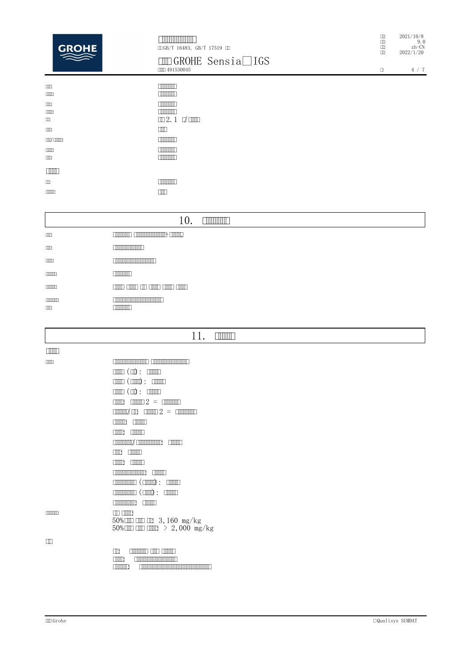| <b>ENTINY NORTH</b>                  |  |  |
|--------------------------------------|--|--|
| $\Box$ GB/T 16483, GB/T 17519 $\Box$ |  |  |

# $\boxed{\text{MD} \text{GROHE} \text{ Sensia} \textcircled{{\text{R}}}}$  IGS

| <b>TTT</b><br>$\Box$       | mmm<br><u>רחחחחחה</u>                                          |
|----------------------------|----------------------------------------------------------------|
| <b>TITE</b><br>$\Box$<br>œ | ШП<br><u>רחחחחחח</u><br>$\mathbb{Z}2.1$ $\forall$ $\mathbb{Z}$ |
| <b>TITE</b>                | ПM                                                             |
| conta <sup>r</sup> common  | <b>TITULITIE</b>                                               |
| <b>CONTECT</b><br>$\Box$   | mmmm                                                           |
|                            |                                                                |
| m                          | mmm                                                            |
| <u>e manners</u>           | ╥                                                              |
|                            |                                                                |

|                            | <b>THEFT DESCRIPTION</b><br>IU.                                                                                                                                                                                                      |
|----------------------------|--------------------------------------------------------------------------------------------------------------------------------------------------------------------------------------------------------------------------------------|
| $\Box$                     | <u> Common Common Common - Common - Common - Common - Common - Common - Common - Common - Common - Common - Common - Common - Common - Common - Common - Common - Common - Common - Common - Common - Common - Common - Common -</u> |
| $\Box$                     | <u> E TIMBER ANN AN 1999 (BARBER AND FILM AND FILM AND FILM AND FILM AND FILM AND FILM AND FILM AND FILM AND FILM AND FILM AND FILM AND FILM AND FILM AND FILM AND FILM AND FILM AND FILM AND FILM AND FILM AND FILM AND FILM AN</u> |
| $\Box$                     | <u> Elizabeth Ann an Dùbhlachd ann an Dùbhlachd ann an Dùbhlachd ann an Dùbhlachd ann an Dùbhlachd ann an Dùbhlachd ann an Dùbhlachd ann an Dùbhlachd ann an Dùbhlachd ann an Dùbhlachd ann an Dùbhlachd ann an Dùbhlachd ann an</u> |
| $\Box$                     | <b>COMMUNITY</b>                                                                                                                                                                                                                     |
| $\Box$                     | <u>anno anno ann anno anno anno</u>                                                                                                                                                                                                  |
| <b>CONTINUES</b><br>$\Box$ | mmm                                                                                                                                                                                                                                  |

### 11.  $\Box$

| $\mathbb{H} \mathbb{H}$ |                                                                                                                                                                                                                                                                                                                     |
|-------------------------|---------------------------------------------------------------------------------------------------------------------------------------------------------------------------------------------------------------------------------------------------------------------------------------------------------------------|
| $\Box$                  | <u> 1989 - Johann Maria Maria Andrew Maria Maria Andrew Maria Andrew Maria Andrew Maria Andrew Maria Andrew Maria</u>                                                                                                                                                                                               |
|                         | $\mathbb{H}(\mathbb{D}):\mathbb{H}$                                                                                                                                                                                                                                                                                 |
|                         | $\mathbb{H}(\mathbb{H})$ : $\mathbb{H}(\mathbb{H})$                                                                                                                                                                                                                                                                 |
|                         | $\mathbb{H}(\mathbb{D}):\mathbb{H}$                                                                                                                                                                                                                                                                                 |
|                         | $\boxed{\text{min}}\ 2 = \boxed{\text{min}}$<br>mm:                                                                                                                                                                                                                                                                 |
|                         | $\frac{1}{2}$ $\frac{1}{2}$ $\frac{1}{2}$ $\frac{1}{2}$ $\frac{1}{2}$ $\frac{1}{2}$ $\frac{1}{2}$ $\frac{1}{2}$ $\frac{1}{2}$ $\frac{1}{2}$ $\frac{1}{2}$ $\frac{1}{2}$ $\frac{1}{2}$ $\frac{1}{2}$ $\frac{1}{2}$ $\frac{1}{2}$ $\frac{1}{2}$ $\frac{1}{2}$ $\frac{1}{2}$ $\frac{1}{2}$ $\frac{1}{2}$ $\frac{1}{2}$ |
|                         | <u>e manner s</u><br><b>TIME</b>                                                                                                                                                                                                                                                                                    |
|                         | $\Box$<br>$\Box$                                                                                                                                                                                                                                                                                                    |
|                         | anno common anno anno                                                                                                                                                                                                                                                                                               |
|                         | <b>TIME</b><br>m                                                                                                                                                                                                                                                                                                    |
|                         | $\Box$<br>TIMT                                                                                                                                                                                                                                                                                                      |
|                         | <u> E TIMBER DE LA BIBLIOTA DE LA BIBLIOTA DE LA BIBLIOTA DE LA BIBLIOTA DE LA BIBLIOTA DE LA BIBLIOTA DE LA BIBL</u><br>$\Box$                                                                                                                                                                                     |
|                         | $\begin{array}{ccc} \hline \text{minmin} & \text{min} & \text{min} \end{array}$                                                                                                                                                                                                                                     |
|                         | $\begin{array}{ccc} \hline \text{minmin} & \text{min} \end{array}$                                                                                                                                                                                                                                                  |
|                         | <u> Eliminativ</u><br>والمستلم                                                                                                                                                                                                                                                                                      |
| و חוויות חוויות         | $\Box$ $\Box$<br>$50\%$ CHD CHD CHB 3, 160 mg/kg<br>$50\%$ CIII CIII CIIII $> 2,000$ mg/kg                                                                                                                                                                                                                          |
| m                       |                                                                                                                                                                                                                                                                                                                     |
|                         | $\Box$                                                                                                                                                                                                                                                                                                              |

| Шt             | <b>EXHIBITED AND ADDRESS</b>                                                                                         |
|----------------|----------------------------------------------------------------------------------------------------------------------|
| <b>FILITE</b>  | <u>E TITULITI TUTTU TUTTU TAKAN T</u>                                                                                |
| <b>Filmman</b> | <u>E di mandata di serie di serie di serie di serie di serie di serie di serie di serie di serie di serie di ser</u> |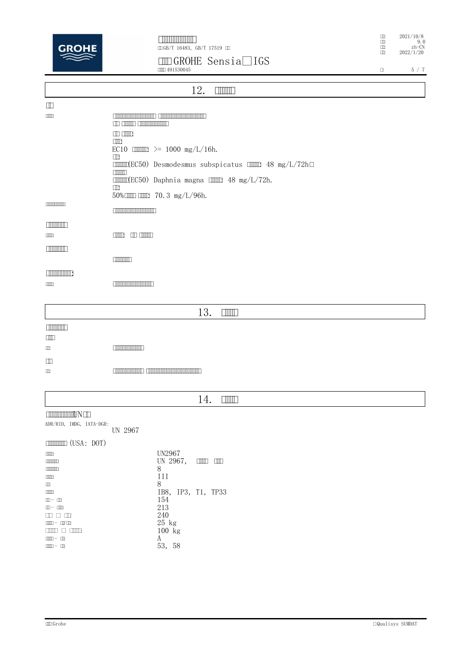

### **GROHE Sensia® IGS**

: 2021/10/8 : 9.0 : zh-CN : 2022/1/20

|                                                                                                                                                                                                                                                                                                                                                                                                                                                                                                                          | <b>COLO 491530045</b>                                                                                                                                                                                                                | α | 5 / 7 |
|--------------------------------------------------------------------------------------------------------------------------------------------------------------------------------------------------------------------------------------------------------------------------------------------------------------------------------------------------------------------------------------------------------------------------------------------------------------------------------------------------------------------------|--------------------------------------------------------------------------------------------------------------------------------------------------------------------------------------------------------------------------------------|---|-------|
|                                                                                                                                                                                                                                                                                                                                                                                                                                                                                                                          | <b>TIMITI</b>                                                                                                                                                                                                                        |   |       |
|                                                                                                                                                                                                                                                                                                                                                                                                                                                                                                                          | 12.                                                                                                                                                                                                                                  |   |       |
| $\Box$                                                                                                                                                                                                                                                                                                                                                                                                                                                                                                                   |                                                                                                                                                                                                                                      |   |       |
| $\Box$                                                                                                                                                                                                                                                                                                                                                                                                                                                                                                                   | <u> Elizabeth Charles (Charles Charles Charles Charles Charles Charles Charles Charles Charles Charles Charles Charles Charles Charles Charles Charles Charles Charles Charles Charles Charles Charles Charles Charles Charles C</u> |   |       |
|                                                                                                                                                                                                                                                                                                                                                                                                                                                                                                                          | <b>CONTRACT CONTRACTOR</b>                                                                                                                                                                                                           |   |       |
|                                                                                                                                                                                                                                                                                                                                                                                                                                                                                                                          | $\Box$                                                                                                                                                                                                                               |   |       |
|                                                                                                                                                                                                                                                                                                                                                                                                                                                                                                                          | EC10 $\Box\Box\Box\Box$ >= 1000 mg/L/16h.                                                                                                                                                                                            |   |       |
|                                                                                                                                                                                                                                                                                                                                                                                                                                                                                                                          | $\Box$                                                                                                                                                                                                                               |   |       |
|                                                                                                                                                                                                                                                                                                                                                                                                                                                                                                                          | <b>IMMI(EC50)</b> Desmodesmus subspicatus <b>IMMI 48 mg/L/72h</b><br>$\Box$                                                                                                                                                          |   |       |
|                                                                                                                                                                                                                                                                                                                                                                                                                                                                                                                          | $\text{minf}(EC50)$ Daphnia magna $\text{min1 } 48 \text{ mg/L}/72h$ .                                                                                                                                                               |   |       |
|                                                                                                                                                                                                                                                                                                                                                                                                                                                                                                                          | $\Box$<br>$50\%$ $\Box$ $\Box$ $\Box$ $70.3$ $mg/L/96h$ .                                                                                                                                                                            |   |       |
| <b>CONTINUES</b>                                                                                                                                                                                                                                                                                                                                                                                                                                                                                                         |                                                                                                                                                                                                                                      |   |       |
|                                                                                                                                                                                                                                                                                                                                                                                                                                                                                                                          | <b>COMMON CONTRACT</b>                                                                                                                                                                                                               |   |       |
| <b>COMMUNITY</b>                                                                                                                                                                                                                                                                                                                                                                                                                                                                                                         |                                                                                                                                                                                                                                      |   |       |
| $\Box$                                                                                                                                                                                                                                                                                                                                                                                                                                                                                                                   |                                                                                                                                                                                                                                      |   |       |
| <b>COMMUNITY</b>                                                                                                                                                                                                                                                                                                                                                                                                                                                                                                         |                                                                                                                                                                                                                                      |   |       |
|                                                                                                                                                                                                                                                                                                                                                                                                                                                                                                                          |                                                                                                                                                                                                                                      |   |       |
| <b>THE REAL PROPERTY</b>                                                                                                                                                                                                                                                                                                                                                                                                                                                                                                 |                                                                                                                                                                                                                                      |   |       |
| $\Box$                                                                                                                                                                                                                                                                                                                                                                                                                                                                                                                   | <b>The Community of the Community</b>                                                                                                                                                                                                |   |       |
|                                                                                                                                                                                                                                                                                                                                                                                                                                                                                                                          |                                                                                                                                                                                                                                      |   |       |
|                                                                                                                                                                                                                                                                                                                                                                                                                                                                                                                          |                                                                                                                                                                                                                                      |   |       |
|                                                                                                                                                                                                                                                                                                                                                                                                                                                                                                                          | 13.<br><b>THULL</b>                                                                                                                                                                                                                  |   |       |
| <b>THE REAL</b>                                                                                                                                                                                                                                                                                                                                                                                                                                                                                                          |                                                                                                                                                                                                                                      |   |       |
| $\Box$                                                                                                                                                                                                                                                                                                                                                                                                                                                                                                                   |                                                                                                                                                                                                                                      |   |       |
| $\Box$                                                                                                                                                                                                                                                                                                                                                                                                                                                                                                                   |                                                                                                                                                                                                                                      |   |       |
| $\Box$                                                                                                                                                                                                                                                                                                                                                                                                                                                                                                                   |                                                                                                                                                                                                                                      |   |       |
| $\Box$                                                                                                                                                                                                                                                                                                                                                                                                                                                                                                                   | <u>Experimental communications and the second second second second second second second second second second second second second second second second second second second second second second second second second second sec</u> |   |       |
|                                                                                                                                                                                                                                                                                                                                                                                                                                                                                                                          |                                                                                                                                                                                                                                      |   |       |
|                                                                                                                                                                                                                                                                                                                                                                                                                                                                                                                          | 14.<br>$\Box$                                                                                                                                                                                                                        |   |       |
|                                                                                                                                                                                                                                                                                                                                                                                                                                                                                                                          |                                                                                                                                                                                                                                      |   |       |
| <b>COMMUNITY IN THE REAL PROPERTY IN</b><br>ADR/RID, IMDG, IATA-DGR:                                                                                                                                                                                                                                                                                                                                                                                                                                                     |                                                                                                                                                                                                                                      |   |       |
|                                                                                                                                                                                                                                                                                                                                                                                                                                                                                                                          | UN 2967                                                                                                                                                                                                                              |   |       |
| $\boxed{\text{minim}} (\text{USA: } \text{DOT})$                                                                                                                                                                                                                                                                                                                                                                                                                                                                         |                                                                                                                                                                                                                                      |   |       |
| $\Box$                                                                                                                                                                                                                                                                                                                                                                                                                                                                                                                   | <b>UN2967</b>                                                                                                                                                                                                                        |   |       |
| $\Box$                                                                                                                                                                                                                                                                                                                                                                                                                                                                                                                   | UN 2967,                                                                                                                                                                                                                             |   |       |
| $\Box$<br>$\Box \Box \Box$                                                                                                                                                                                                                                                                                                                                                                                                                                                                                               | 8<br>III                                                                                                                                                                                                                             |   |       |
| $\Box$                                                                                                                                                                                                                                                                                                                                                                                                                                                                                                                   | 8                                                                                                                                                                                                                                    |   |       |
| $\Box$                                                                                                                                                                                                                                                                                                                                                                                                                                                                                                                   | IB8, IP3, T1, TP33                                                                                                                                                                                                                   |   |       |
| $\square^ \square$<br>$\begin{tabular}{ll} \hline \multicolumn{3}{l} \multicolumn{3}{c}{ \multicolumn{3}{c} \multicolumn{3}{c}{ \multicolumn{3}{c} \multicolumn{3}{c}{ \multicolumn{3}{c} \multicolumn{3}{c}{ \multicolumn{3}{c} \multicolumn{3}{c}{ \multicolumn{3}{c} \multicolumn{3}{c}{ \multicolumn{3}{c} \multicolumn{3}{c}{ \multicolumn{3}{c} \multicolumn{3}{c}{ \multicolumn{3}{c} \multicolumn{3}{c}{ \multicolumn{3}{c} \multicolumn{3}{c} \multicolumn{3}{c}{ \multicolumn{3}{c} \multicolumn{3}{c}{ \mult$ | 154<br>213                                                                                                                                                                                                                           |   |       |
| $\begin{array}{c} \square \square \square \square \square \end{array}$                                                                                                                                                                                                                                                                                                                                                                                                                                                   | $240\,$                                                                                                                                                                                                                              |   |       |
| $\Box \Box \Box \neg \Box \Box \neg \Box \Box$<br>$\begin{tabular}{ll} \hline \textbf{C} & \textbf{C} & \textbf{C} & \textbf{C} & \textbf{C} & \textbf{C} & \textbf{C} & \textbf{C} & \textbf{C} & \textbf{C} & \textbf{C} & \textbf{C} & \textbf{C} & \textbf{C} & \textbf{C} & \textbf{C} & \textbf{C} & \textbf{C} & \textbf{C} & \textbf{C} & \textbf{C} & \textbf{C} & \textbf{C} & \textbf{C} & \textbf{C} & \textbf{C} & \textbf{C} & \textbf{C} & \textbf{C} & \textbf{C}$                                       | $25$ kg<br>$100$ kg                                                                                                                                                                                                                  |   |       |
| $\Box\Box\Box\vdash\Box\Box$                                                                                                                                                                                                                                                                                                                                                                                                                                                                                             | A                                                                                                                                                                                                                                    |   |       |
| $\Box\Box\Box\vdash\Box\Box$                                                                                                                                                                                                                                                                                                                                                                                                                                                                                             | 53, 58                                                                                                                                                                                                                               |   |       |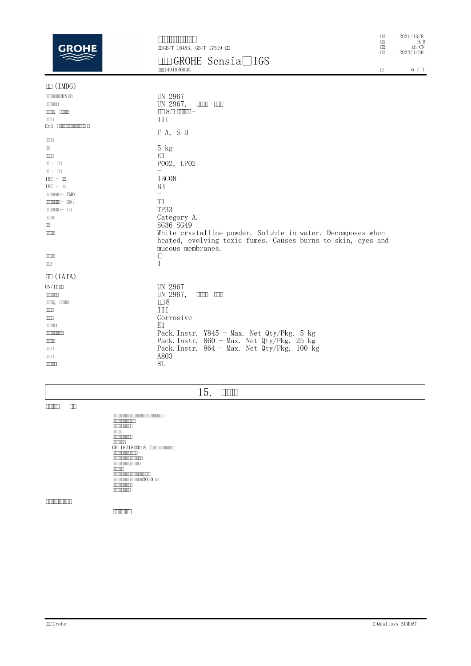| GRA                                  | ⅢGB/T 16483, GB/T 17519 Ⅲ                                                                                                                        | $\Box$<br>$\Box$<br>$\square$<br>$\square$ | 2021/10/8<br>9.0<br>$zh$ - $CN$ |
|--------------------------------------|--------------------------------------------------------------------------------------------------------------------------------------------------|--------------------------------------------|---------------------------------|
|                                      | <b>IDOROHE</b> Sensia® IGS<br><b>COLL 491530045</b>                                                                                              | 0                                          | 2022/1/20<br>6 / 7              |
| $\mathbb{I}$ (IMDG)                  |                                                                                                                                                  |                                            |                                 |
| <b>CONTINUES IN CONTINUES</b>        | UN 2967                                                                                                                                          |                                            |                                 |
| <b>CONTINUES</b>                     | UN 2967,<br>$\Box$                                                                                                                               |                                            |                                 |
| $\Box$                               |                                                                                                                                                  |                                            |                                 |
| $\Box$                               | Ш                                                                                                                                                |                                            |                                 |
| $EmS$ ( $mmmmm$ )                    |                                                                                                                                                  |                                            |                                 |
|                                      | $F-A$ , $S-B$                                                                                                                                    |                                            |                                 |
| <b>TITLE</b><br>Œ                    | $5$ $kg$                                                                                                                                         |                                            |                                 |
| $\Box$                               | E1                                                                                                                                               |                                            |                                 |
| $\Box \Box = \Box \Box$              | P002, LP02                                                                                                                                       |                                            |                                 |
| $m - m$                              |                                                                                                                                                  |                                            |                                 |
| $IBC - \Box$                         | IBC08                                                                                                                                            |                                            |                                 |
| $IBC - \Box$                         | B <sub>3</sub>                                                                                                                                   |                                            |                                 |
| $\boxed{\text{minim}} - \text{IMO:}$ | $=$                                                                                                                                              |                                            |                                 |
| $m = UN:$                            | T1                                                                                                                                               |                                            |                                 |
|                                      | <b>TP33</b>                                                                                                                                      |                                            |                                 |
| <b>TITLE</b>                         | Category A.                                                                                                                                      |                                            |                                 |
| $\Box$                               | SG36 SG49                                                                                                                                        |                                            |                                 |
| <b>CONTECT</b>                       | White crystalline powder. Soluble in water. Decomposes when<br>heated, evolving toxic fumes. Causes burns to skin, eyes and<br>mucous membranes. |                                            |                                 |
| <b>CONTECT</b>                       | $\Box$                                                                                                                                           |                                            |                                 |
| $\Box$                               | 1                                                                                                                                                |                                            |                                 |
| $\Box$ (IATA)                        |                                                                                                                                                  |                                            |                                 |
| $UN/ID \Box$                         | UN 2967                                                                                                                                          |                                            |                                 |
| <b>CONTINUES</b>                     | UN 2967.<br>mm mm                                                                                                                                |                                            |                                 |
| $\Box$                               | $\square 8$                                                                                                                                      |                                            |                                 |
| <b>TITLE</b>                         | III                                                                                                                                              |                                            |                                 |
| $\Box$                               | Corrosive                                                                                                                                        |                                            |                                 |
| <b>CONTECT</b>                       | E1                                                                                                                                               |                                            |                                 |
| <b>COMMON DISP</b>                   | Pack. Instr. Y845 - Max. Net Qty/Pkg. 5 kg                                                                                                       |                                            |                                 |
| <b>CONTECT</b>                       | Pack. Instr. $860 - Max$ . Net Qty/Pkg. 25 kg                                                                                                    |                                            |                                 |
| $\Box$                               | Pack. Instr. 864 - Max. Net Qty/Pkg. 100 kg                                                                                                      |                                            |                                 |
| <b>TITLE</b>                         | A803                                                                                                                                             |                                            |                                 |
| <b>CONTECT</b>                       | 8L                                                                                                                                               |                                            |                                 |

**15.** 

 **-** 

 $\begin{array}{|l|l|} \hline \textbf{Gamma} & \textbf{R} & \textbf{R} & \textbf{R} & \textbf{R} & \textbf{R} & \textbf{R} & \textbf{R} & \textbf{R} & \textbf{R} & \textbf{R} & \textbf{R} & \textbf{R} & \textbf{R} & \textbf{R} & \textbf{R} & \textbf{R} & \textbf{R} & \textbf{R} & \textbf{R} & \textbf{R} & \textbf{R} & \textbf{R} & \textbf{R} & \textbf{R} & \textbf{R} & \textbf{R} & \textbf{R} & \textbf{R} & \textbf{$ 

**THE CONTRACTOR** 

 $\begin{tabular}{|c|c|c|c|} \hline \quad \quad & \quad \quad & \quad \quad \\ \hline \end{tabular}$